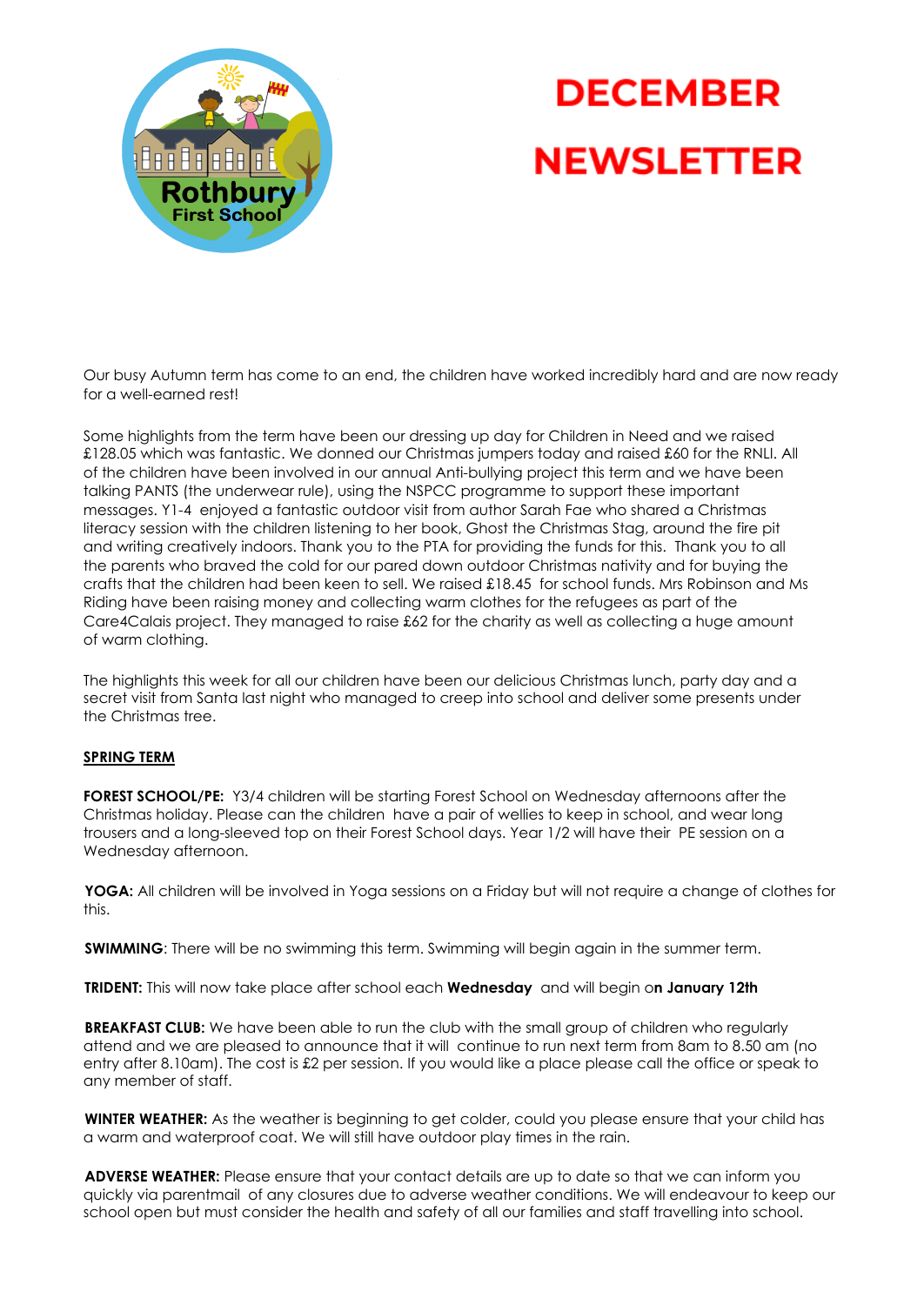

## **DECEMBER NEWSLETTER**

Our busy Autumn term has come to an end, the children have worked incredibly hard and are now ready for a well-earned rest!

Some highlights from the term have been our dressing up day for Children in Need and we raised £128.05 which was fantastic. We donned our Christmas jumpers today and raised £60 for the RNLI. All of the children have been involved in our annual Anti-bullying project this term and we have been talking PANTS (the underwear rule), using the NSPCC programme to support these important messages. Y1-4 enjoyed a fantastic outdoor visit from author Sarah Fae who shared a Christmas literacy session with the children listening to her book, Ghost the Christmas Stag, around the fire pit and writing creatively indoors. Thank you to the PTA for providing the funds for this. Thank you to all the parents who braved the cold for our pared down outdoor Christmas nativity and for buying the crafts that the children had been keen to sell. We raised £18.45 for school funds. Mrs Robinson and Ms Riding have been raising money and collecting warm clothes for the refugees as part of the Care4Calais project. They managed to raise £62 for the charity as well as collecting a huge amount of warm clothing.

The highlights this week for all our children have been our delicious Christmas lunch, party day and a secret visit from Santa last night who managed to creep into school and deliver some presents under the Christmas tree.

## **SPRING TERM**

**FOREST SCHOOL/PE:** Y3/4 children will be starting Forest School on Wednesday afternoons after the Christmas holiday. Please can the children have a pair of wellies to keep in school, and wear long trousers and a long-sleeved top on their Forest School days. Year 1/2 will have their PE session on a Wednesday afternoon.

**YOGA:** All children will be involved in Yoga sessions on a Friday but will not require a change of clothes for this.

**SWIMMING**: There will be no swimming this term. Swimming will begin again in the summer term.

**TRIDENT:** This will now take place after school each **Wednesday** and will begin o**n January 12th**

**BREAKFAST CLUB:** We have been able to run the club with the small group of children who regularly attend and we are pleased to announce that it will continue to run next term from 8am to 8.50 am (no entry after 8.10am). The cost is £2 per session. If you would like a place please call the office or speak to any member of staff.

**WINTER WEATHER:** As the weather is beginning to get colder, could you please ensure that your child has a warm and waterproof coat. We will still have outdoor play times in the rain.

**ADVERSE WEATHER:** Please ensure that your contact details are up to date so that we can inform you quickly via parentmail of any closures due to adverse weather conditions. We will endeavour to keep our school open but must consider the health and safety of all our families and staff travelling into school.